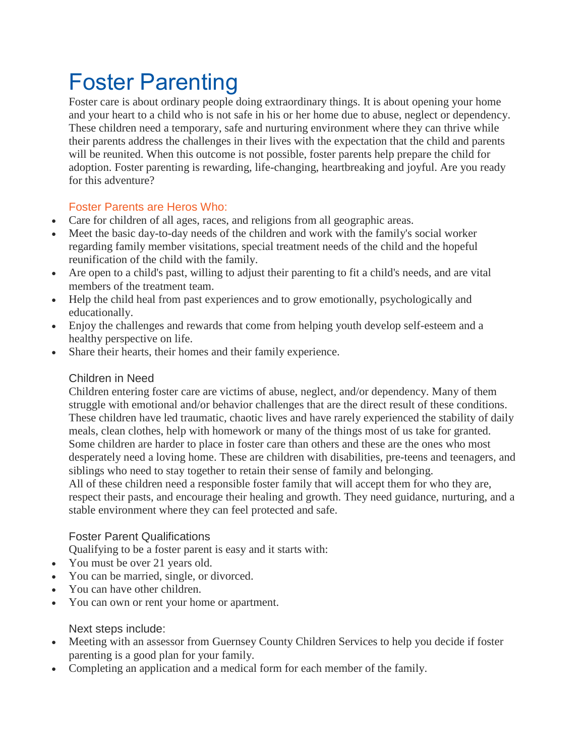# Foster Parenting

Foster care is about ordinary people doing extraordinary things. It is about opening your home and your heart to a child who is not safe in his or her home due to abuse, neglect or dependency. These children need a temporary, safe and nurturing environment where they can thrive while their parents address the challenges in their lives with the expectation that the child and parents will be reunited. When this outcome is not possible, foster parents help prepare the child for adoption. Foster parenting is rewarding, life-changing, heartbreaking and joyful. Are you ready for this adventure?

## Foster Parents are Heros Who:

- Care for children of all ages, races, and religions from all geographic areas.
- Meet the basic day-to-day needs of the children and work with the family's social worker regarding family member visitations, special treatment needs of the child and the hopeful reunification of the child with the family.
- Are open to a child's past, willing to adjust their parenting to fit a child's needs, and are vital members of the treatment team.
- Help the child heal from past experiences and to grow emotionally, psychologically and educationally.
- Enjoy the challenges and rewards that come from helping youth develop self-esteem and a healthy perspective on life.
- Share their hearts, their homes and their family experience.

#### Children in Need

Children entering foster care are victims of abuse, neglect, and/or dependency. Many of them struggle with emotional and/or behavior challenges that are the direct result of these conditions. These children have led traumatic, chaotic lives and have rarely experienced the stability of daily meals, clean clothes, help with homework or many of the things most of us take for granted. Some children are harder to place in foster care than others and these are the ones who most desperately need a loving home. These are children with disabilities, pre-teens and teenagers, and siblings who need to stay together to retain their sense of family and belonging. All of these children need a responsible foster family that will accept them for who they are, respect their pasts, and encourage their healing and growth. They need guidance, nurturing, and a stable environment where they can feel protected and safe.

### Foster Parent Qualifications

Qualifying to be a foster parent is easy and it starts with:

- You must be over 21 years old.
- You can be married, single, or divorced.
- You can have other children.
- You can own or rent your home or apartment.

### Next steps include:

- Meeting with an assessor from Guernsey County Children Services to help you decide if foster parenting is a good plan for your family.
- Completing an application and a medical form for each member of the family.